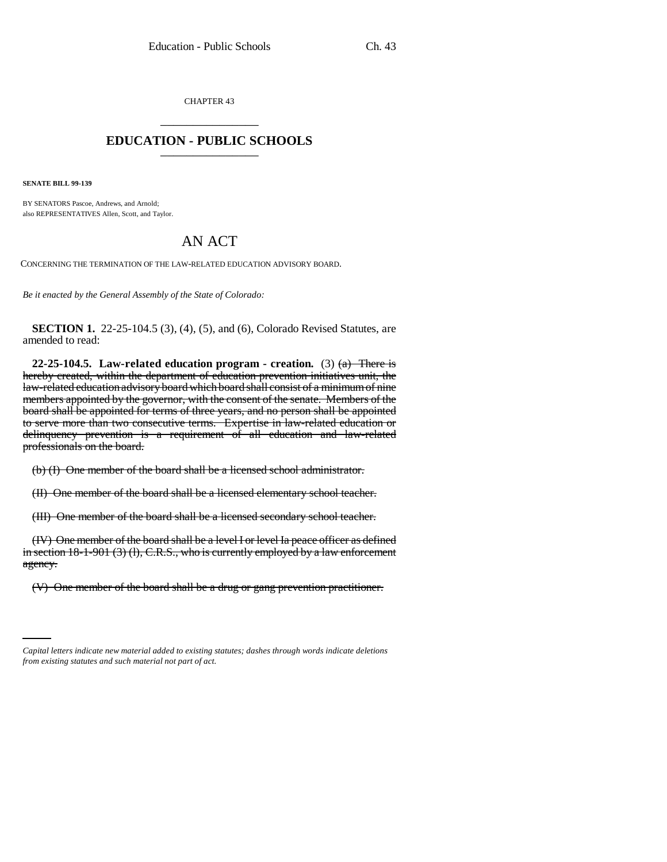CHAPTER 43 \_\_\_\_\_\_\_\_\_\_\_\_\_\_\_

## **EDUCATION - PUBLIC SCHOOLS** \_\_\_\_\_\_\_\_\_\_\_\_\_\_\_

**SENATE BILL 99-139** 

BY SENATORS Pascoe, Andrews, and Arnold; also REPRESENTATIVES Allen, Scott, and Taylor.

## AN ACT

CONCERNING THE TERMINATION OF THE LAW-RELATED EDUCATION ADVISORY BOARD.

*Be it enacted by the General Assembly of the State of Colorado:*

**SECTION 1.** 22-25-104.5 (3), (4), (5), and (6), Colorado Revised Statutes, are amended to read:

**22-25-104.5.** Law-related education program - creation. (3)  $(a)$  There is hereby created, within the department of education prevention initiatives unit, the law-related education advisory board which board shall consist of a minimum of nine members appointed by the governor, with the consent of the senate. Members of the board shall be appointed for terms of three years, and no person shall be appointed to serve more than two consecutive terms. Expertise in law-related education or delinquency prevention is a requirement of all education and law-related professionals on the board.

(b) (I) One member of the board shall be a licensed school administrator.

(II) One member of the board shall be a licensed elementary school teacher.

(III) One member of the board shall be a licensed secondary school teacher.

(IV) One member of the board shall be a level I or level Ia peace officer as defined in section 18-1-901 (3) (1), C.R.S., who is currently employed by a law enforcement agency.

(V) One member of the board shall be a drug or gang prevention practitioner.

*Capital letters indicate new material added to existing statutes; dashes through words indicate deletions from existing statutes and such material not part of act.*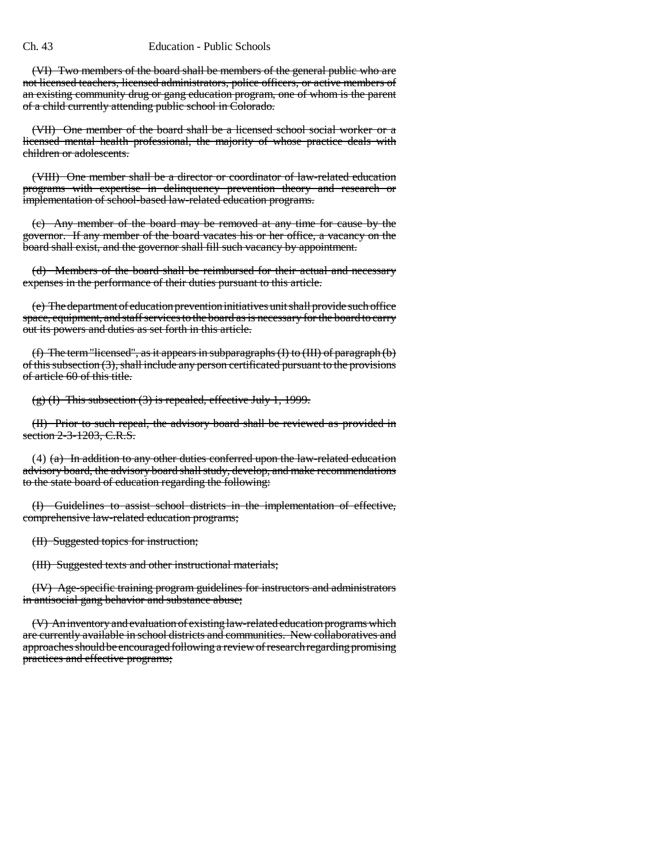(VI) Two members of the board shall be members of the general public who are not licensed teachers, licensed administrators, police officers, or active members of

an existing community drug or gang education program, one of whom is the parent of a child currently attending public school in Colorado. (VII) One member of the board shall be a licensed school social worker or a

licensed mental health professional, the majority of whose practice deals with children or adolescents.

(VIII) One member shall be a director or coordinator of law-related education programs with expertise in delinquency prevention theory and research or implementation of school-based law-related education programs.

(c) Any member of the board may be removed at any time for cause by the governor. If any member of the board vacates his or her office, a vacancy on the board shall exist, and the governor shall fill such vacancy by appointment.

(d) Members of the board shall be reimbursed for their actual and necessary expenses in the performance of their duties pursuant to this article.

(e) The department of education prevention initiatives unit shall provide such office space, equipment, and staff services to the board as is necessary for the board to carry out its powers and duties as set forth in this article.

(f) The term "licensed", as it appears in subparagraphs (I) to (III) of paragraph (b) of this subsection (3), shall include any person certificated pursuant to the provisions of article 60 of this title.

(g) (I) This subsection (3) is repealed, effective July 1, 1999.

(II) Prior to such repeal, the advisory board shall be reviewed as provided in section 2-3-1203, C.R.S.

(4)  $(a)$  In addition to any other duties conferred upon the law-related education advisory board, the advisory board shall study, develop, and make recommendations to the state board of education regarding the following:

(I) Guidelines to assist school districts in the implementation of effective, comprehensive law-related education programs;

(II) Suggested topics for instruction;

(III) Suggested texts and other instructional materials;

(IV) Age-specific training program guidelines for instructors and administrators in antisocial gang behavior and substance abuse;

(V) An inventory and evaluation of existing law-related education programs which are currently available in school districts and communities. New collaboratives and approaches should be encouraged following a review of research regarding promising practices and effective programs;

Ch. 43 Education - Public Schools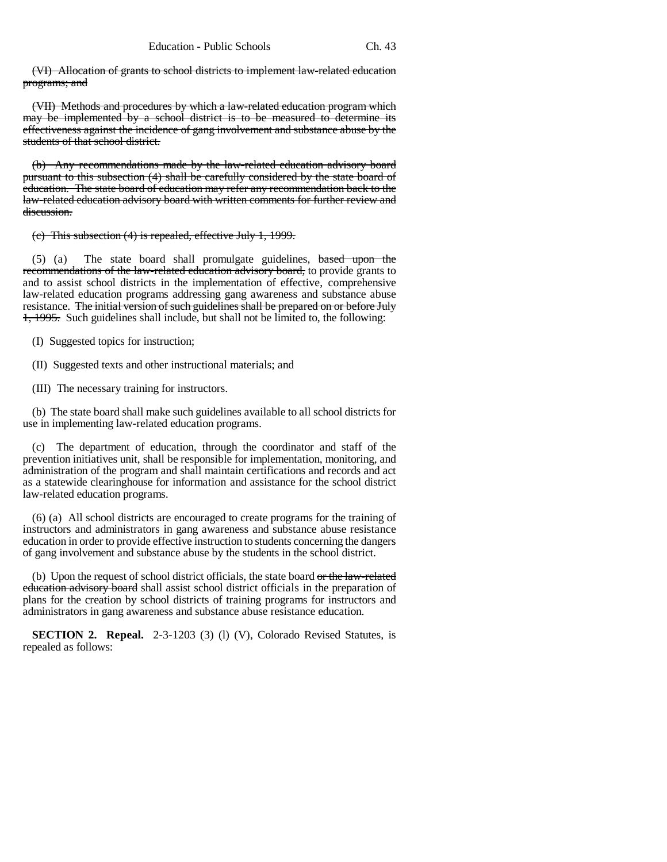(VI) Allocation of grants to school districts to implement law-related education programs; and

(VII) Methods and procedures by which a law-related education program which may be implemented by a school district is to be measured to determine its effectiveness against the incidence of gang involvement and substance abuse by the students of that school district.

(b) Any recommendations made by the law-related education advisory board pursuant to this subsection (4) shall be carefully considered by the state board of education. The state board of education may refer any recommendation back to the law-related education advisory board with written comments for further review and discussion.

(c) This subsection (4) is repealed, effective July 1, 1999.

(5) (a) The state board shall promulgate guidelines, based upon the recommendations of the law-related education advisory board, to provide grants to and to assist school districts in the implementation of effective, comprehensive law-related education programs addressing gang awareness and substance abuse resistance. The initial version of such guidelines shall be prepared on or before July 1, 1995. Such guidelines shall include, but shall not be limited to, the following:

(I) Suggested topics for instruction;

(II) Suggested texts and other instructional materials; and

(III) The necessary training for instructors.

(b) The state board shall make such guidelines available to all school districts for use in implementing law-related education programs.

(c) The department of education, through the coordinator and staff of the prevention initiatives unit, shall be responsible for implementation, monitoring, and administration of the program and shall maintain certifications and records and act as a statewide clearinghouse for information and assistance for the school district law-related education programs.

(6) (a) All school districts are encouraged to create programs for the training of instructors and administrators in gang awareness and substance abuse resistance education in order to provide effective instruction to students concerning the dangers of gang involvement and substance abuse by the students in the school district.

(b) Upon the request of school district officials, the state board or the law-related education advisory board shall assist school district officials in the preparation of plans for the creation by school districts of training programs for instructors and administrators in gang awareness and substance abuse resistance education.

**SECTION 2. Repeal.** 2-3-1203 (3) (l) (V), Colorado Revised Statutes, is repealed as follows: